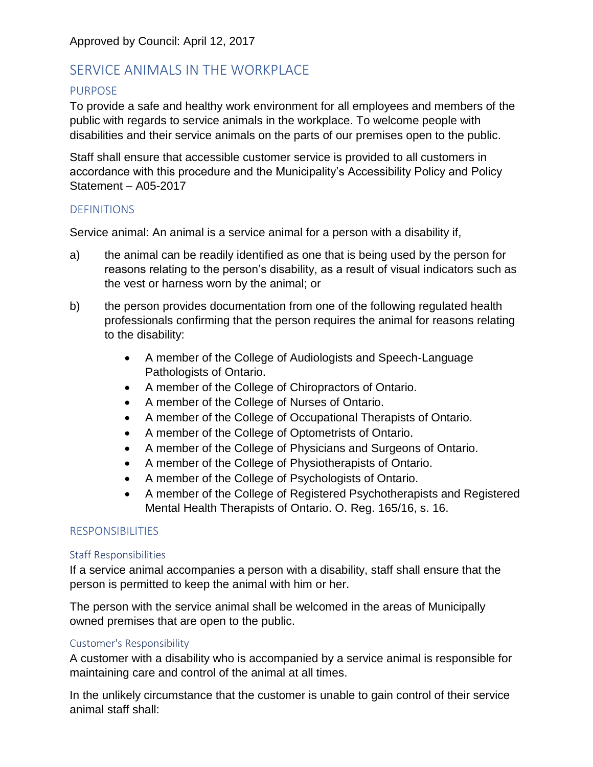# SERVICE ANIMALS IN THE WORKPLACE

# PURPOSE

To provide a safe and healthy work environment for all employees and members of the public with regards to service animals in the workplace. To welcome people with disabilities and their service animals on the parts of our premises open to the public.

Staff shall ensure that accessible customer service is provided to all customers in accordance with this procedure and the Municipality's Accessibility Policy and Policy Statement – A05-2017

# **DEFINITIONS**

Service animal: An animal is a service animal for a person with a disability if,

- a) the animal can be readily identified as one that is being used by the person for reasons relating to the person's disability, as a result of visual indicators such as the vest or harness worn by the animal; or
- b) the person provides documentation from one of the following regulated health professionals confirming that the person requires the animal for reasons relating to the disability:
	- A member of the College of Audiologists and Speech-Language Pathologists of Ontario.
	- A member of the College of Chiropractors of Ontario.
	- A member of the College of Nurses of Ontario.
	- A member of the College of Occupational Therapists of Ontario.
	- A member of the College of Optometrists of Ontario.
	- A member of the College of Physicians and Surgeons of Ontario.
	- A member of the College of Physiotherapists of Ontario.
	- A member of the College of Psychologists of Ontario.
	- A member of the College of Registered Psychotherapists and Registered Mental Health Therapists of Ontario. O. Reg. 165/16, s. 16.

# RESPONSIBILITIES

# Staff Responsibilities

If a service animal accompanies a person with a disability, staff shall ensure that the person is permitted to keep the animal with him or her.

The person with the service animal shall be welcomed in the areas of Municipally owned premises that are open to the public.

# Customer's Responsibility

A customer with a disability who is accompanied by a service animal is responsible for maintaining care and control of the animal at all times.

In the unlikely circumstance that the customer is unable to gain control of their service animal staff shall: